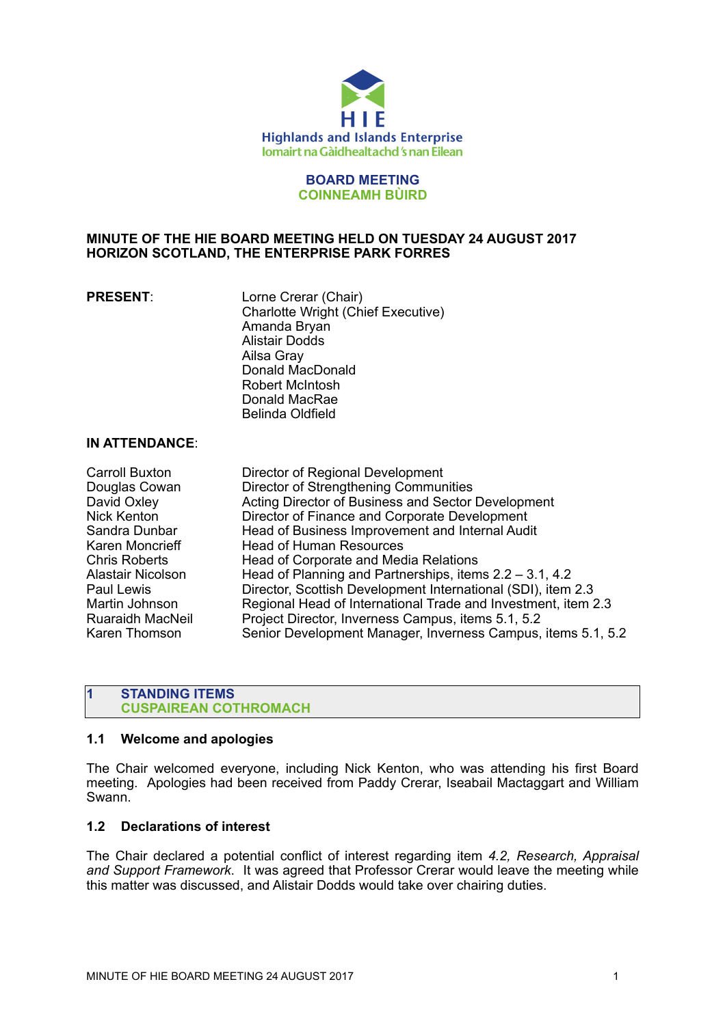

# **BOARD MEETING COINNEAMH BÙIRD**

# **MINUTE OF THE HIE BOARD MEETING HELD ON TUESDAY 24 AUGUST 2017 HORIZON SCOTLAND, THE ENTERPRISE PARK FORRES**

**PRESENT:** Lorne Crerar (Chair) Charlotte Wright (Chief Executive) Amanda Bryan Alistair Dodds Ailsa Gray Donald MacDonald Robert McIntosh Donald MacRae Belinda Oldfield

# **IN ATTENDANCE**:

| Carroll Buxton           | Director of Regional Development                              |
|--------------------------|---------------------------------------------------------------|
| Douglas Cowan            | Director of Strengthening Communities                         |
| David Oxley              | Acting Director of Business and Sector Development            |
| <b>Nick Kenton</b>       | Director of Finance and Corporate Development                 |
| Sandra Dunbar            | Head of Business Improvement and Internal Audit               |
| Karen Moncrieff          | <b>Head of Human Resources</b>                                |
| <b>Chris Roberts</b>     | Head of Corporate and Media Relations                         |
| <b>Alastair Nicolson</b> | Head of Planning and Partnerships, items $2.2 - 3.1$ , 4.2    |
| Paul Lewis               | Director, Scottish Development International (SDI), item 2.3  |
| Martin Johnson           | Regional Head of International Trade and Investment, item 2.3 |
| <b>Ruaraidh MacNeil</b>  | Project Director, Inverness Campus, items 5.1, 5.2            |
| Karen Thomson            | Senior Development Manager, Inverness Campus, items 5.1, 5.2  |

# **1 STANDING ITEMS CUSPAIREAN COTHROMACH**

# **1.1 Welcome and apologies**

The Chair welcomed everyone, including Nick Kenton, who was attending his first Board meeting. Apologies had been received from Paddy Crerar, Iseabail Mactaggart and William Swann.

# **1.2 Declarations of interest**

The Chair declared a potential conflict of interest regarding item *4.2, Research, Appraisal and Support Framework*. It was agreed that Professor Crerar would leave the meeting while this matter was discussed, and Alistair Dodds would take over chairing duties.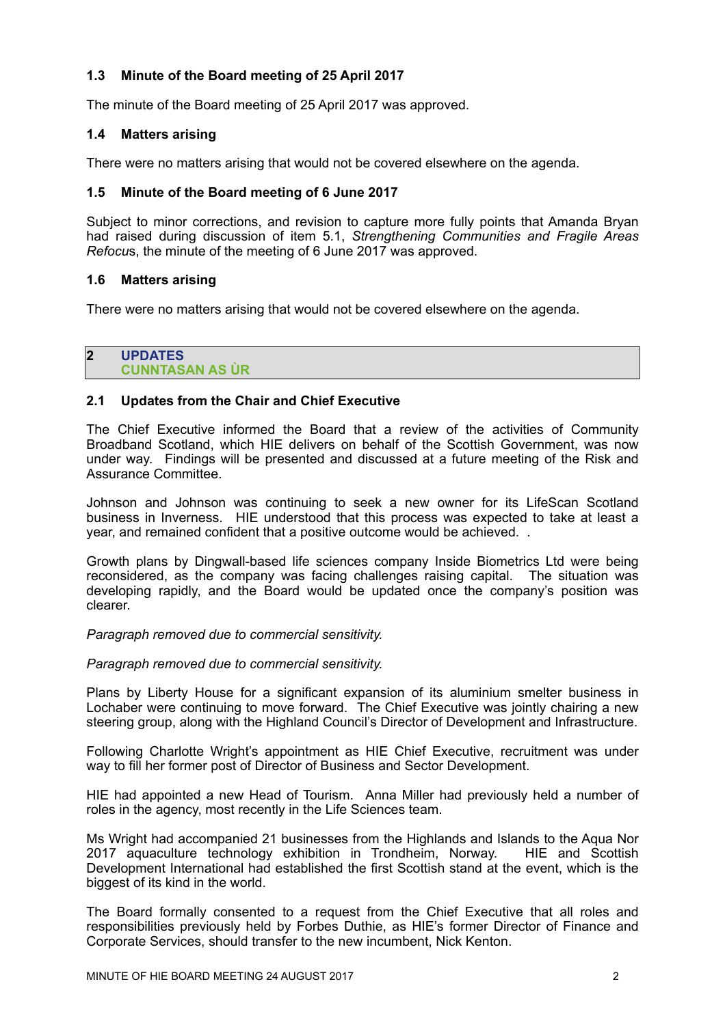# **1.3 Minute of the Board meeting of 25 April 2017**

The minute of the Board meeting of 25 April 2017 was approved.

# **1.4 Matters arising**

There were no matters arising that would not be covered elsewhere on the agenda.

# **1.5 Minute of the Board meeting of 6 June 2017**

Subject to minor corrections, and revision to capture more fully points that Amanda Bryan had raised during discussion of item 5.1, *Strengthening Communities and Fragile Areas Refocu*s, the minute of the meeting of 6 June 2017 was approved.

# **1.6 Matters arising**

There were no matters arising that would not be covered elsewhere on the agenda.

#### **2 UPDATES CUNNTASAN AS ÙR**

# **2.1 Updates from the Chair and Chief Executive**

The Chief Executive informed the Board that a review of the activities of Community Broadband Scotland, which HIE delivers on behalf of the Scottish Government, was now under way. Findings will be presented and discussed at a future meeting of the Risk and Assurance Committee.

Johnson and Johnson was continuing to seek a new owner for its LifeScan Scotland business in Inverness. HIE understood that this process was expected to take at least a year, and remained confident that a positive outcome would be achieved. .

Growth plans by Dingwall-based life sciences company Inside Biometrics Ltd were being reconsidered, as the company was facing challenges raising capital. The situation was developing rapidly, and the Board would be updated once the company's position was clearer.

*Paragraph removed due to commercial sensitivity.* 

*Paragraph removed due to commercial sensitivity.* 

Plans by Liberty House for a significant expansion of its aluminium smelter business in Lochaber were continuing to move forward. The Chief Executive was jointly chairing a new steering group, along with the Highland Council's Director of Development and Infrastructure.

Following Charlotte Wright's appointment as HIE Chief Executive, recruitment was under way to fill her former post of Director of Business and Sector Development.

HIE had appointed a new Head of Tourism. Anna Miller had previously held a number of roles in the agency, most recently in the Life Sciences team.

Ms Wright had accompanied 21 businesses from the Highlands and Islands to the Aqua Nor 2017 aquaculture technology exhibition in Trondheim, Norway. HIE and Scottish Development International had established the first Scottish stand at the event, which is the biggest of its kind in the world.

The Board formally consented to a request from the Chief Executive that all roles and responsibilities previously held by Forbes Duthie, as HIE's former Director of Finance and Corporate Services, should transfer to the new incumbent, Nick Kenton.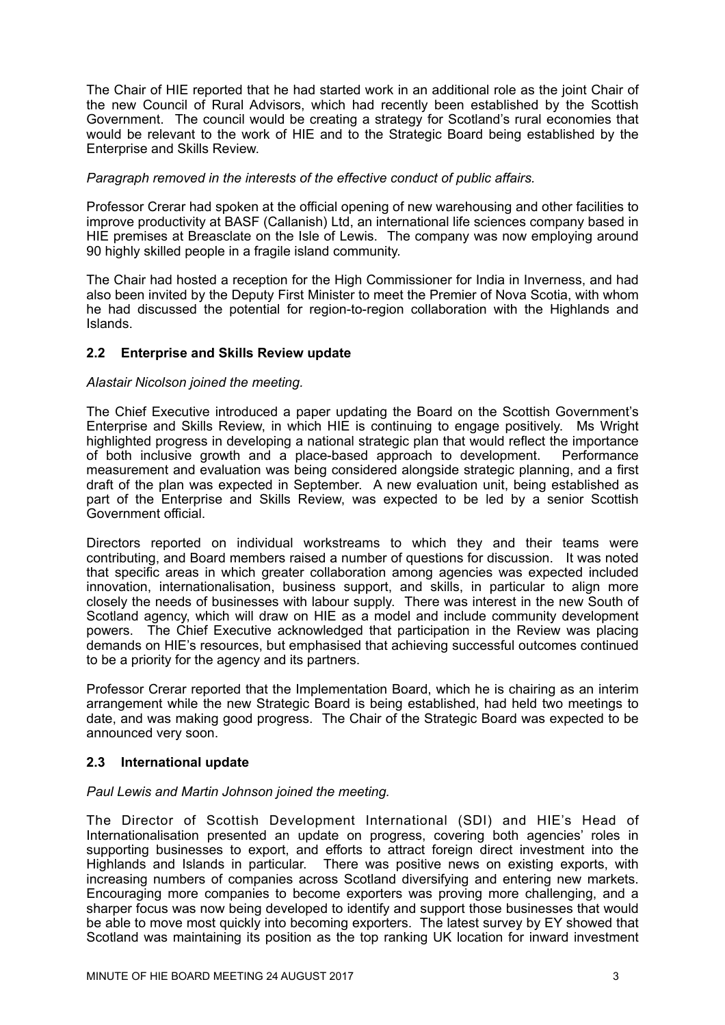The Chair of HIE reported that he had started work in an additional role as the joint Chair of the new Council of Rural Advisors, which had recently been established by the Scottish Government. The council would be creating a strategy for Scotland's rural economies that would be relevant to the work of HIE and to the Strategic Board being established by the Enterprise and Skills Review.

# *Paragraph removed in the interests of the effective conduct of public affairs.*

Professor Crerar had spoken at the official opening of new warehousing and other facilities to improve productivity at BASF (Callanish) Ltd, an international life sciences company based in HIE premises at Breasclate on the Isle of Lewis. The company was now employing around 90 highly skilled people in a fragile island community.

The Chair had hosted a reception for the High Commissioner for India in Inverness, and had also been invited by the Deputy First Minister to meet the Premier of Nova Scotia, with whom he had discussed the potential for region-to-region collaboration with the Highlands and Islands.

# **2.2 Enterprise and Skills Review update**

# *Alastair Nicolson joined the meeting.*

The Chief Executive introduced a paper updating the Board on the Scottish Government's Enterprise and Skills Review, in which HIE is continuing to engage positively. Ms Wright highlighted progress in developing a national strategic plan that would reflect the importance of both inclusive growth and a place-based approach to development. Performance measurement and evaluation was being considered alongside strategic planning, and a first draft of the plan was expected in September. A new evaluation unit, being established as part of the Enterprise and Skills Review, was expected to be led by a senior Scottish Government official.

Directors reported on individual workstreams to which they and their teams were contributing, and Board members raised a number of questions for discussion. It was noted that specific areas in which greater collaboration among agencies was expected included innovation, internationalisation, business support, and skills, in particular to align more closely the needs of businesses with labour supply. There was interest in the new South of Scotland agency, which will draw on HIE as a model and include community development powers. The Chief Executive acknowledged that participation in the Review was placing demands on HIE's resources, but emphasised that achieving successful outcomes continued to be a priority for the agency and its partners.

Professor Crerar reported that the Implementation Board, which he is chairing as an interim arrangement while the new Strategic Board is being established, had held two meetings to date, and was making good progress. The Chair of the Strategic Board was expected to be announced very soon.

# **2.3 International update**

# *Paul Lewis and Martin Johnson joined the meeting.*

The Director of Scottish Development International (SDI) and HIE's Head of Internationalisation presented an update on progress, covering both agencies' roles in supporting businesses to export, and efforts to attract foreign direct investment into the Highlands and Islands in particular. There was positive news on existing exports, with increasing numbers of companies across Scotland diversifying and entering new markets. Encouraging more companies to become exporters was proving more challenging, and a sharper focus was now being developed to identify and support those businesses that would be able to move most quickly into becoming exporters. The latest survey by EY showed that Scotland was maintaining its position as the top ranking UK location for inward investment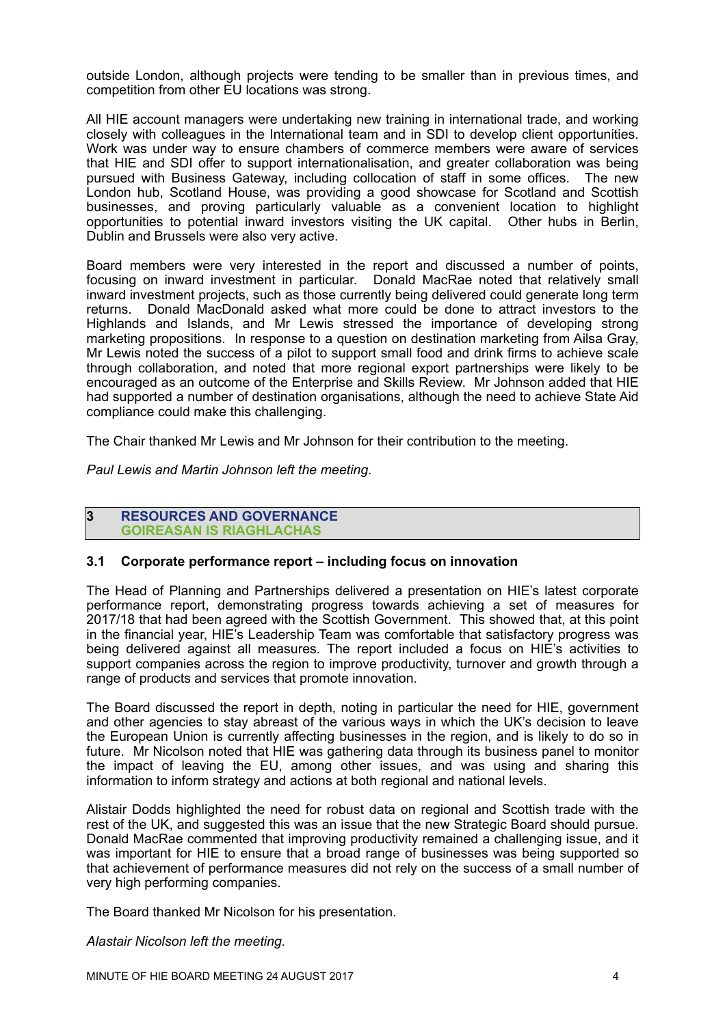outside London, although projects were tending to be smaller than in previous times, and competition from other EU locations was strong.

All HIE account managers were undertaking new training in international trade, and working closely with colleagues in the International team and in SDI to develop client opportunities. Work was under way to ensure chambers of commerce members were aware of services that HIE and SDI offer to support internationalisation, and greater collaboration was being pursued with Business Gateway, including collocation of staff in some offices. The new London hub, Scotland House, was providing a good showcase for Scotland and Scottish businesses, and proving particularly valuable as a convenient location to highlight opportunities to potential inward investors visiting the UK capital. Other hubs in Berlin, Dublin and Brussels were also very active.

Board members were very interested in the report and discussed a number of points, focusing on inward investment in particular. Donald MacRae noted that relatively small inward investment projects, such as those currently being delivered could generate long term returns. Donald MacDonald asked what more could be done to attract investors to the Highlands and Islands, and Mr Lewis stressed the importance of developing strong marketing propositions. In response to a question on destination marketing from Ailsa Gray, Mr Lewis noted the success of a pilot to support small food and drink firms to achieve scale through collaboration, and noted that more regional export partnerships were likely to be encouraged as an outcome of the Enterprise and Skills Review. Mr Johnson added that HIE had supported a number of destination organisations, although the need to achieve State Aid compliance could make this challenging.

The Chair thanked Mr Lewis and Mr Johnson for their contribution to the meeting.

*Paul Lewis and Martin Johnson left the meeting.*

#### **3 RESOURCES AND GOVERNANCE GOIREASAN IS RIAGHLACHAS**

# **3.1 Corporate performance report – including focus on innovation**

The Head of Planning and Partnerships delivered a presentation on HIE's latest corporate performance report, demonstrating progress towards achieving a set of measures for 2017/18 that had been agreed with the Scottish Government. This showed that, at this point in the financial year, HIE's Leadership Team was comfortable that satisfactory progress was being delivered against all measures. The report included a focus on HIE's activities to support companies across the region to improve productivity, turnover and growth through a range of products and services that promote innovation.

The Board discussed the report in depth, noting in particular the need for HIE, government and other agencies to stay abreast of the various ways in which the UK's decision to leave the European Union is currently affecting businesses in the region, and is likely to do so in future. Mr Nicolson noted that HIE was gathering data through its business panel to monitor the impact of leaving the EU, among other issues, and was using and sharing this information to inform strategy and actions at both regional and national levels.

Alistair Dodds highlighted the need for robust data on regional and Scottish trade with the rest of the UK, and suggested this was an issue that the new Strategic Board should pursue. Donald MacRae commented that improving productivity remained a challenging issue, and it was important for HIE to ensure that a broad range of businesses was being supported so that achievement of performance measures did not rely on the success of a small number of very high performing companies.

The Board thanked Mr Nicolson for his presentation.

#### *Alastair Nicolson left the meeting.*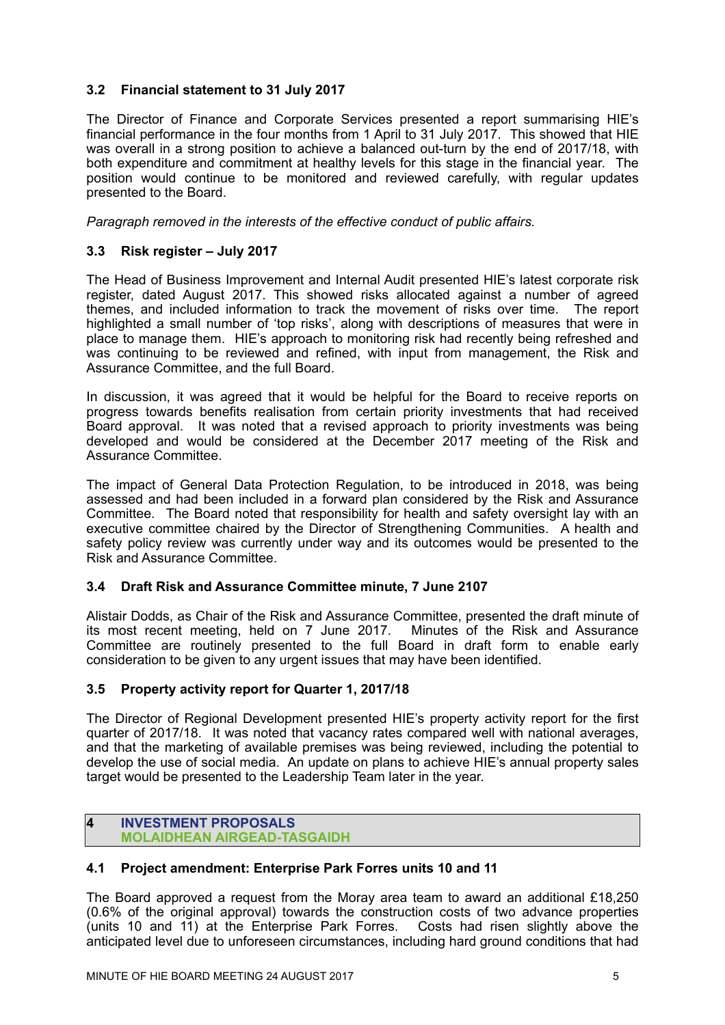# **3.2 Financial statement to 31 July 2017**

The Director of Finance and Corporate Services presented a report summarising HIE's financial performance in the four months from 1 April to 31 July 2017. This showed that HIE was overall in a strong position to achieve a balanced out-turn by the end of 2017/18, with both expenditure and commitment at healthy levels for this stage in the financial year. The position would continue to be monitored and reviewed carefully, with regular updates presented to the Board.

*Paragraph removed in the interests of the effective conduct of public affairs.* 

# **3.3 Risk register – July 2017**

The Head of Business Improvement and Internal Audit presented HIE's latest corporate risk register, dated August 2017. This showed risks allocated against a number of agreed themes, and included information to track the movement of risks over time. The report highlighted a small number of 'top risks', along with descriptions of measures that were in place to manage them. HIE's approach to monitoring risk had recently being refreshed and was continuing to be reviewed and refined, with input from management, the Risk and Assurance Committee, and the full Board.

In discussion, it was agreed that it would be helpful for the Board to receive reports on progress towards benefits realisation from certain priority investments that had received Board approval. It was noted that a revised approach to priority investments was being developed and would be considered at the December 2017 meeting of the Risk and Assurance Committee.

The impact of General Data Protection Regulation, to be introduced in 2018, was being assessed and had been included in a forward plan considered by the Risk and Assurance Committee. The Board noted that responsibility for health and safety oversight lay with an executive committee chaired by the Director of Strengthening Communities. A health and safety policy review was currently under way and its outcomes would be presented to the Risk and Assurance Committee.

# **3.4 Draft Risk and Assurance Committee minute, 7 June 2107**

Alistair Dodds, as Chair of the Risk and Assurance Committee, presented the draft minute of its most recent meeting, held on 7 June 2017. Minutes of the Risk and Assurance Committee are routinely presented to the full Board in draft form to enable early consideration to be given to any urgent issues that may have been identified.

# **3.5 Property activity report for Quarter 1, 2017/18**

The Director of Regional Development presented HIE's property activity report for the first quarter of 2017/18. It was noted that vacancy rates compared well with national averages, and that the marketing of available premises was being reviewed, including the potential to develop the use of social media. An update on plans to achieve HIE's annual property sales target would be presented to the Leadership Team later in the year.

#### **4 INVESTMENT PROPOSALS MOLAIDHEAN AIRGEAD-TASGAIDH**

# **4.1 Project amendment: Enterprise Park Forres units 10 and 11**

The Board approved a request from the Moray area team to award an additional £18,250 (0.6% of the original approval) towards the construction costs of two advance properties (units 10 and 11) at the Enterprise Park Forres. Costs had risen slightly above the anticipated level due to unforeseen circumstances, including hard ground conditions that had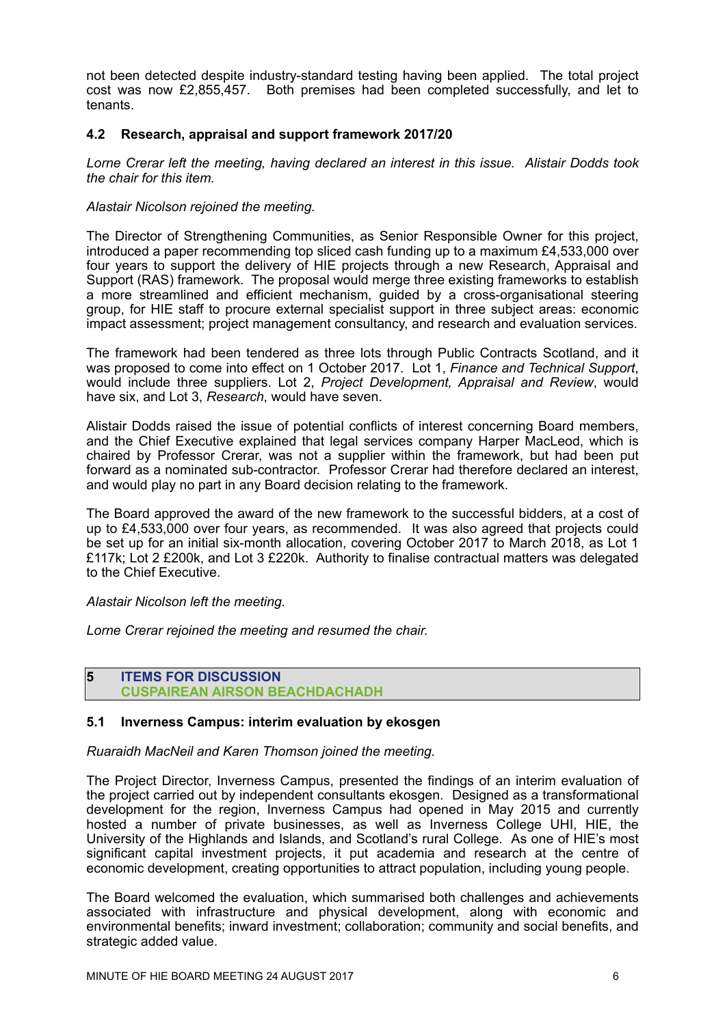not been detected despite industry-standard testing having been applied. The total project cost was now £2,855,457. Both premises had been completed successfully, and let to tenants.

# **4.2 Research, appraisal and support framework 2017/20**

*Lorne Crerar left the meeting, having declared an interest in this issue. Alistair Dodds took the chair for this item.* 

#### *Alastair Nicolson rejoined the meeting.*

The Director of Strengthening Communities, as Senior Responsible Owner for this project, introduced a paper recommending top sliced cash funding up to a maximum £4,533,000 over four years to support the delivery of HIE projects through a new Research, Appraisal and Support (RAS) framework. The proposal would merge three existing frameworks to establish a more streamlined and efficient mechanism, guided by a cross-organisational steering group, for HIE staff to procure external specialist support in three subject areas: economic impact assessment; project management consultancy, and research and evaluation services.

The framework had been tendered as three lots through Public Contracts Scotland, and it was proposed to come into effect on 1 October 2017. Lot 1, *Finance and Technical Support*, would include three suppliers. Lot 2, *Project Development, Appraisal and Review*, would have six, and Lot 3, *Research*, would have seven.

Alistair Dodds raised the issue of potential conflicts of interest concerning Board members, and the Chief Executive explained that legal services company Harper MacLeod, which is chaired by Professor Crerar, was not a supplier within the framework, but had been put forward as a nominated sub-contractor. Professor Crerar had therefore declared an interest, and would play no part in any Board decision relating to the framework.

The Board approved the award of the new framework to the successful bidders, at a cost of up to £4,533,000 over four years, as recommended. It was also agreed that projects could be set up for an initial six-month allocation, covering October 2017 to March 2018, as Lot 1 £117k; Lot 2 £200k, and Lot 3 £220k. Authority to finalise contractual matters was delegated to the Chief Executive.

*Alastair Nicolson left the meeting.* 

*Lorne Crerar rejoined the meeting and resumed the chair.* 

#### **5 ITEMS FOR DISCUSSION CUSPAIREAN AIRSON BEACHDACHADH**

# **5.1 Inverness Campus: interim evaluation by ekosgen**

*Ruaraidh MacNeil and Karen Thomson joined the meeting.* 

The Project Director, Inverness Campus, presented the findings of an interim evaluation of the project carried out by independent consultants ekosgen. Designed as a transformational development for the region, Inverness Campus had opened in May 2015 and currently hosted a number of private businesses, as well as Inverness College UHI, HIE, the University of the Highlands and Islands, and Scotland's rural College. As one of HIE's most significant capital investment projects, it put academia and research at the centre of economic development, creating opportunities to attract population, including young people.

The Board welcomed the evaluation, which summarised both challenges and achievements associated with infrastructure and physical development, along with economic and environmental benefits; inward investment; collaboration; community and social benefits, and strategic added value.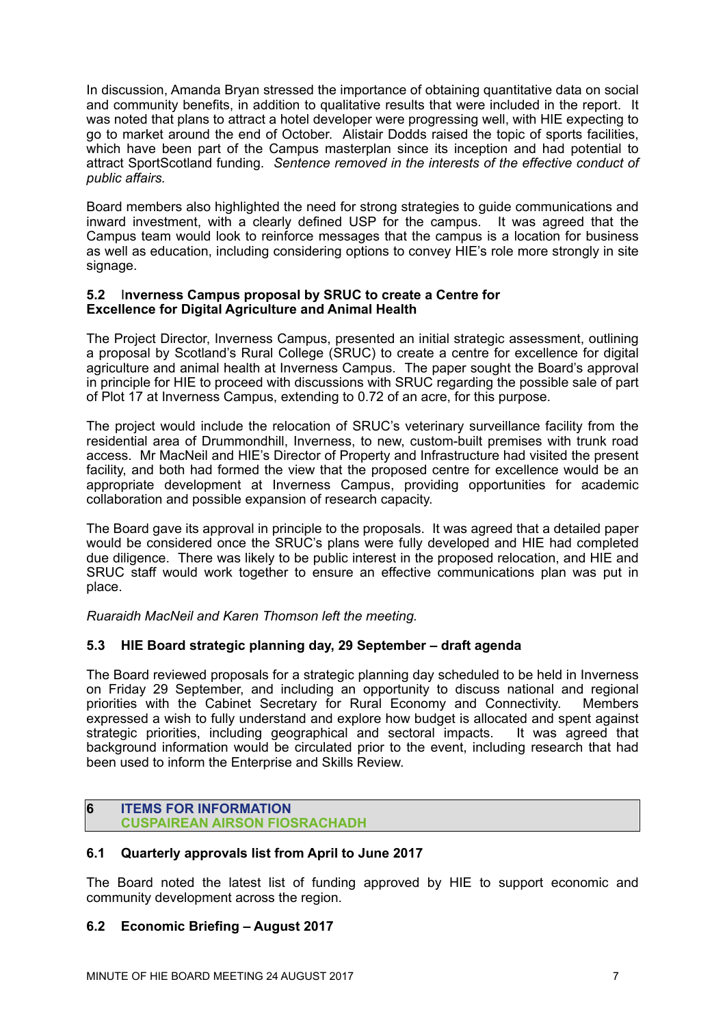In discussion, Amanda Bryan stressed the importance of obtaining quantitative data on social and community benefits, in addition to qualitative results that were included in the report. It was noted that plans to attract a hotel developer were progressing well, with HIE expecting to go to market around the end of October. Alistair Dodds raised the topic of sports facilities, which have been part of the Campus masterplan since its inception and had potential to attract SportScotland funding. *Sentence removed in the interests of the effective conduct of public affairs.* 

Board members also highlighted the need for strong strategies to guide communications and inward investment, with a clearly defined USP for the campus. It was agreed that the Campus team would look to reinforce messages that the campus is a location for business as well as education, including considering options to convey HIE's role more strongly in site signage.

#### **5.2** I**nverness Campus proposal by SRUC to create a Centre for Excellence for Digital Agriculture and Animal Health**

The Project Director, Inverness Campus, presented an initial strategic assessment, outlining a proposal by Scotland's Rural College (SRUC) to create a centre for excellence for digital agriculture and animal health at Inverness Campus. The paper sought the Board's approval in principle for HIE to proceed with discussions with SRUC regarding the possible sale of part of Plot 17 at Inverness Campus, extending to 0.72 of an acre, for this purpose.

The project would include the relocation of SRUC's veterinary surveillance facility from the residential area of Drummondhill, Inverness, to new, custom-built premises with trunk road access. Mr MacNeil and HIE's Director of Property and Infrastructure had visited the present facility, and both had formed the view that the proposed centre for excellence would be an appropriate development at Inverness Campus, providing opportunities for academic collaboration and possible expansion of research capacity.

The Board gave its approval in principle to the proposals. It was agreed that a detailed paper would be considered once the SRUC's plans were fully developed and HIE had completed due diligence. There was likely to be public interest in the proposed relocation, and HIE and SRUC staff would work together to ensure an effective communications plan was put in place.

*Ruaraidh MacNeil and Karen Thomson left the meeting.* 

# **5.3 HIE Board strategic planning day, 29 September – draft agenda**

The Board reviewed proposals for a strategic planning day scheduled to be held in Inverness on Friday 29 September, and including an opportunity to discuss national and regional priorities with the Cabinet Secretary for Rural Economy and Connectivity. Members expressed a wish to fully understand and explore how budget is allocated and spent against strategic priorities, including geographical and sectoral impacts. It was agreed that background information would be circulated prior to the event, including research that had been used to inform the Enterprise and Skills Review.

# **6 ITEMS FOR INFORMATION CUSPAIREAN AIRSON FIOSRACHADH**

# **6.1 Quarterly approvals list from April to June 2017**

The Board noted the latest list of funding approved by HIE to support economic and community development across the region.

# **6.2 Economic Briefing – August 2017**